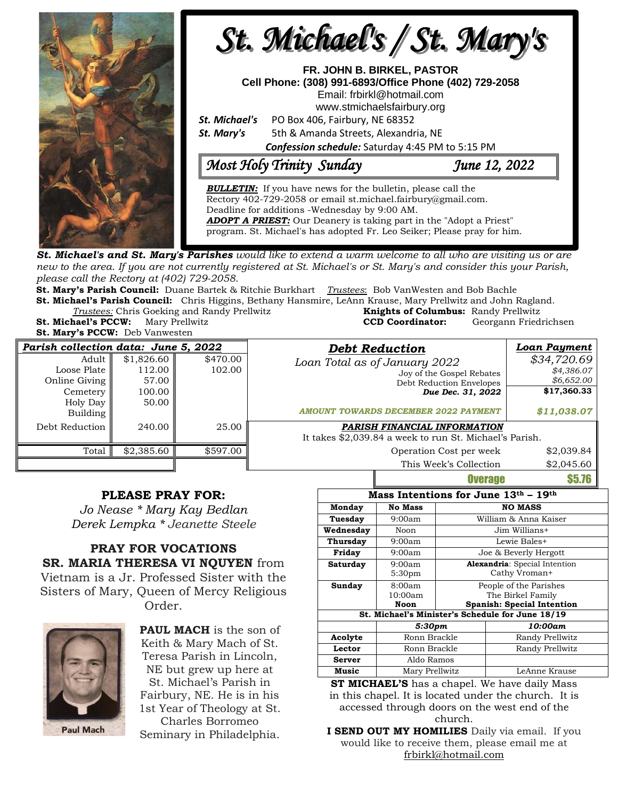

**St. Michael's and St. Mary's Parishes** would like to extend a warm welcome to all who are visiting us or are new to the area. If you are not currently registered at St. Michael's or St. Mary's and consider this your Parish, *please call the Rectory at (402) 729-2058.* 

**St. Mary's Parish Council:** Duane Bartek & Ritchie Burkhart *Trustees*: Bob VanWesten and Bob Bachle

**St. Michael's Parish Council:** Chris Higgins, Bethany Hansmire, LeAnn Krause, Mary Prellwitz and John Ragland. **Trustees:** Chris Goeking and Randy Prellwitz **St. Michael's PCCW:** Mary Prellwitz **CCD Coordinator:** Georgann Friedrichsen

**St. Mary's PCCW:** Deb Vanwesten

| Knights of Columbus: Randy Prellwitz |                      |
|--------------------------------------|----------------------|
| <b>CCD Coordinator:</b>              | Georgann Friedrichse |
|                                      |                      |

| Parish collection data: June 5, 2022 |            |          | <b>Debt Reduction</b>                                   | <b>Loan Payment</b> |
|--------------------------------------|------------|----------|---------------------------------------------------------|---------------------|
| Adult                                | \$1,826.60 | \$470.00 | Loan Total as of January 2022                           | \$34,720.69         |
| Loose Plate                          | 112.00     | 102.00   | Joy of the Gospel Rebates                               | \$4,386.07          |
| Online Giving                        | 57.00      |          | Debt Reduction Envelopes                                | \$6,652.00          |
| Cemetery                             | 100.00     |          | Due Dec. 31, 2022                                       | \$17,360.33         |
| Holy Day<br>Building                 | 50.00      |          | <b>AMOUNT TOWARDS DECEMBER 2022 PAYMENT</b>             | \$11,038.07         |
| Debt Reduction                       | 240.00     | 25.00    | PARISH FINANCIAL INFORMATION                            |                     |
|                                      |            |          | It takes \$2,039.84 a week to run St. Michael's Parish. |                     |
| Total                                | \$2,385.60 | \$597.00 | Operation Cost per week                                 | \$2,039.84          |
|                                      |            |          | This Week's Collection                                  | \$2.045.60          |

## **PLEASE PRAY FOR:**

*Jo Nease \* Mary Kay Bedlan Derek Lempka \* Jeanette Steele*

## **PRAY FOR VOCATIONS SR. MARIA THERESA VI NQUYEN** from Vietnam is a Jr. Professed Sister with the Sisters of Mary, Queen of Mercy Religious

Order.



**PAUL MACH** is the son of Keith & Mary Mach of St. Teresa Parish in Lincoln, NE but grew up here at St. Michael's Parish in Fairbury, NE. He is in his 1st Year of Theology at St. Charles Borromeo

Seminary in Philadelphia.

| Mass Intentions for June 13th - 19th             |                              |                                                                                  |                 |  |  |  |
|--------------------------------------------------|------------------------------|----------------------------------------------------------------------------------|-----------------|--|--|--|
| Monday                                           | <b>No Mass</b>               | <b>NO MASS</b>                                                                   |                 |  |  |  |
| Tuesday                                          | 9:00am                       | William & Anna Kaiser                                                            |                 |  |  |  |
| Wednesday                                        | Noon                         | Jim Willians+                                                                    |                 |  |  |  |
| <b>Thursday</b>                                  | 9:00am                       | Lewie Bales+                                                                     |                 |  |  |  |
| Friday                                           | 9:00am                       | Joe & Beverly Hergott                                                            |                 |  |  |  |
| Saturday                                         | 9:00am<br>5:30 <sub>pm</sub> | <b>Alexandria:</b> Special Intention<br>Cathy Vroman+                            |                 |  |  |  |
| Sunday                                           | 8:00am<br>10:00am<br>Noon    | People of the Parishes<br>The Birkel Family<br><b>Spanish: Special Intention</b> |                 |  |  |  |
| St. Michael's Minister's Schedule for June 18/19 |                              |                                                                                  |                 |  |  |  |
|                                                  | 5:30pm                       |                                                                                  | 10:00am         |  |  |  |
| Acolyte                                          | Ronn Brackle                 |                                                                                  | Randy Prellwitz |  |  |  |
| Lector                                           | Ronn Brackle                 |                                                                                  | Randy Prellwitz |  |  |  |
| Server                                           | Aldo Ramos                   |                                                                                  |                 |  |  |  |
| Music                                            | Mary Prellwitz               |                                                                                  | LeAnne Krause   |  |  |  |

Overage \$5.76

**ST MICHAEL'S** has a chapel. We have daily Mass in this chapel. It is located under the church. It is accessed through doors on the west end of the church.

**I SEND OUT MY HOMILIES** Daily via email. If you would like to receive them, please email me at [frbirkl@hotmail.com](mailto:frbirkl@hotmail.com)